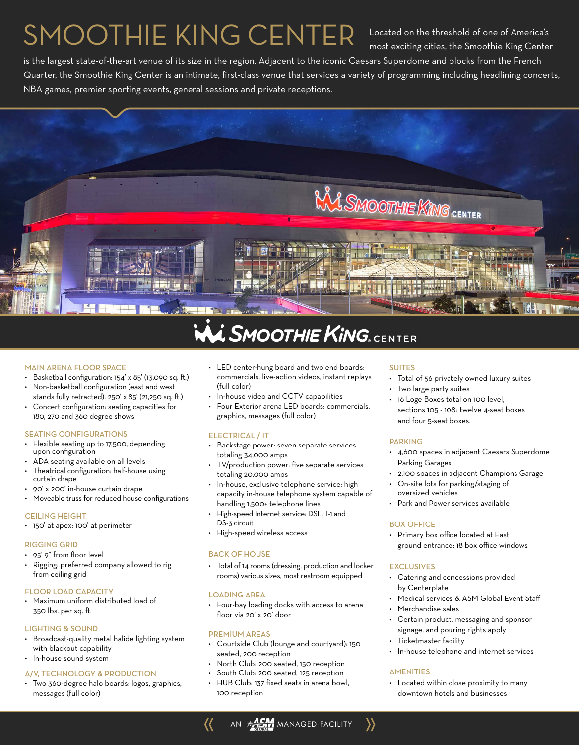# SMOOTHIE KING CENTER

Located on the threshold of one of America's most exciting cities, the Smoothie King Center

is the largest state-of-the-art venue of its size in the region. Adjacent to the iconic Caesars Superdome and blocks from the French Quarter, the Smoothie King Center is an intimate, first-class venue that services a variety of programming including headlining concerts, NBA games, premier sporting events, general sessions and private receptions.



#### MAIN ARENA FLOOR SPACE

- Basketball configuration: 154' x 85' (13,090 sq. ft.)
- Non-basketball configuration (east and west stands fully retracted): 250' x 85' (21,250 sq. ft.)
- Concert configuration: seating capacities for 180, 270 and 360 degree shows

#### SEATING CONFIGURATIONS

- Flexible seating up to 17,500, depending upon configuration
- ADA seating available on all levels
- Theatrical configuration: half-house using curtain drape
- 90' x 200' in-house curtain drape
- Moveable truss for reduced house configurations

#### CEILING HEIGHT

• 150' at apex; 100' at perimeter

#### RIGGING GRID

- 95' 9" from floor level
- Rigging: preferred company allowed to rig from ceiling grid

#### FLOOR LOAD CAPACITY

• Maximum uniform distributed load of 350 lbs. per sq. ft.

#### LIGHTING & SOUND

- Broadcast-quality metal halide lighting system with blackout capability
- In-house sound system

### A/V, TECHNOLOGY & PRODUCTION

• Two 360-degree halo boards: logos, graphics, messages (full color)

- LED center-hung board and two end boards: commercials, live-action videos, instant replays (full color)
- In-house video and CCTV capabilities
- Four Exterior arena LED boards: commercials, graphics, messages (full color)

#### ELECTRICAL / IT

- Backstage power: seven separate services totaling 34,000 amps
- TV/production power: five separate services totaling 20,000 amps
- In-house, exclusive telephone service: high capacity in-house telephone system capable of
- handling 1,500+ telephone lines • High-speed Internet service: DSL, T-1 and
- DS-3 circuit
- High-speed wireless access

#### BACK OF HOUSE

• Total of 14 rooms (dressing, production and locker rooms) various sizes, most restroom equipped

#### LOADING AREA

• Four-bay loading docks with access to arena floor via 20' x 20' door

#### PREMIUM AREAS

- Courtside Club (lounge and courtyard): 150 seated, 200 reception
- North Club: 200 seated, 150 reception
- South Club: 200 seated, 125 reception
- HUB Club: 137 fixed seats in arena bowl, 100 reception

#### SUITES

- Total of 56 privately owned luxury suites
- Two large party suites
- 16 Loge Boxes total on 100 level, sections 105 - 108: twelve 4-seat boxes and four 5-seat boxes.

#### PARKING

- 4,600 spaces in adjacent Caesars Superdome Parking Garages
- 2,100 spaces in adjacent Champions Garage
- On-site lots for parking/staging of oversized vehicles
- Park and Power services available

#### BOX OFFICE

• Primary box office located at East ground entrance: 18 box office windows

#### **EXCLUSIVES**

- Catering and concessions provided by Centerplate
- Medical services & ASM Global Event Staff
- Merchandise sales
- Certain product, messaging and sponsor signage, and pouring rights apply
- Ticketmaster facility
- In-house telephone and internet services

#### **AMENITIES**

• Located within close proximity to many downtown hotels and businesses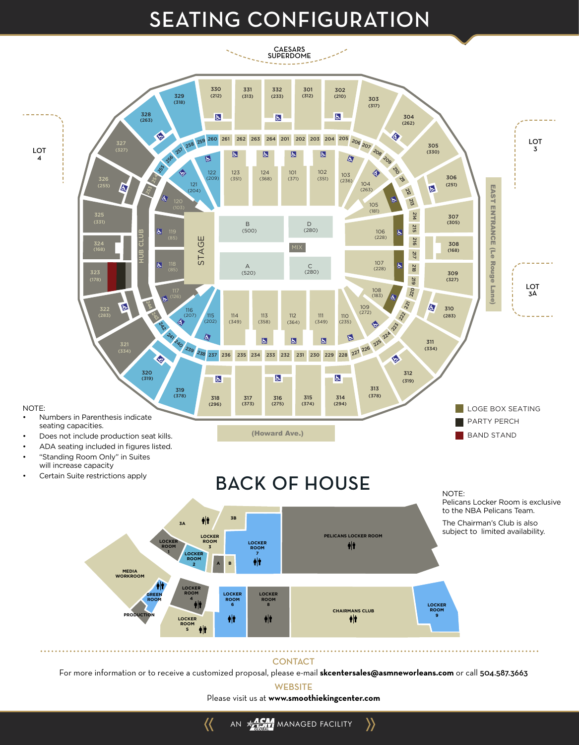## **SEATING CONFIGURATION**



#### **CONTACT**

For more information or to receive a customized proposal, please e-mail **skcentersales@asmneworleans.com** or call 504.587.3663

**WEBSITE** 

AN **MARIA MANAGED FACILITY** 

 $\left\langle \right\rangle$ 

 $\langle \langle$ 

Please visit us at **www.smoothiekingcenter.com**